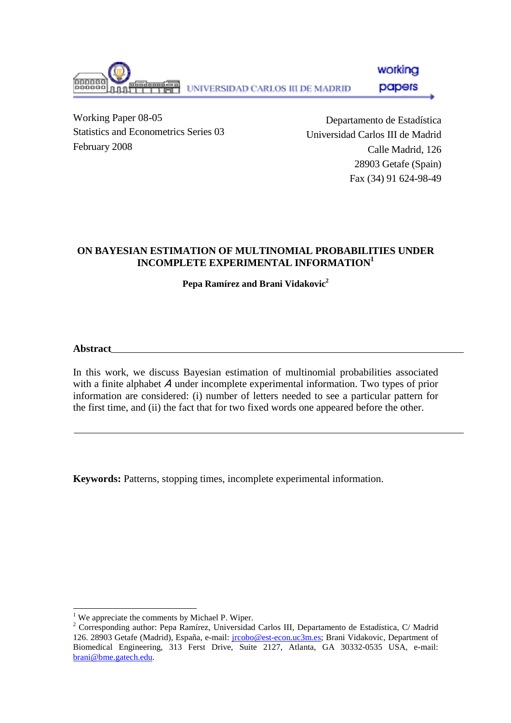working papers UNIVERSIDAD CARLOS III DE MADRID

Working Paper 08-05 Statistics and Econometrics Series 03 February 2008

Departamento de Estadística Universidad Carlos III de Madrid Calle Madrid, 126 28903 Getafe (Spain) Fax (34) 91 624-98-49

# **ON BAYESIAN ESTIMATION OF MULTINOMIAL PROBABILITIES UNDER INCOMPLETE EXPERIMENTAL INFORMATION1**

**Pepa Ramírez and Brani Vidakovic2**

**Abstract** 

l

In this work, we discuss Bayesian estimation of multinomial probabilities associated with a finite alphabet A under incomplete experimental information. Two types of prior information are considered: (i) number of letters needed to see a particular pattern for the first time, and (ii) the fact that for two fixed words one appeared before the other.

**Keywords:** Patterns, stopping times, incomplete experimental information.

<sup>&</sup>lt;sup>1</sup> We appreciate the comments by Michael P. Wiper.

<sup>&</sup>lt;sup>2</sup> Corresponding author: Pepa Ramírez, Universidad Carlos III, Departamento de Estadística, C/ Madrid 126. 28903 Getafe (Madrid), España, e-mail: *jrcobo@est-econ.uc3m.es*; Brani Vidakovic, Department of Biomedical Engineering, 313 Ferst Drive, Suite 2127, Atlanta, GA 30332-0535 USA, e-mail: brani@bme.gatech.edu.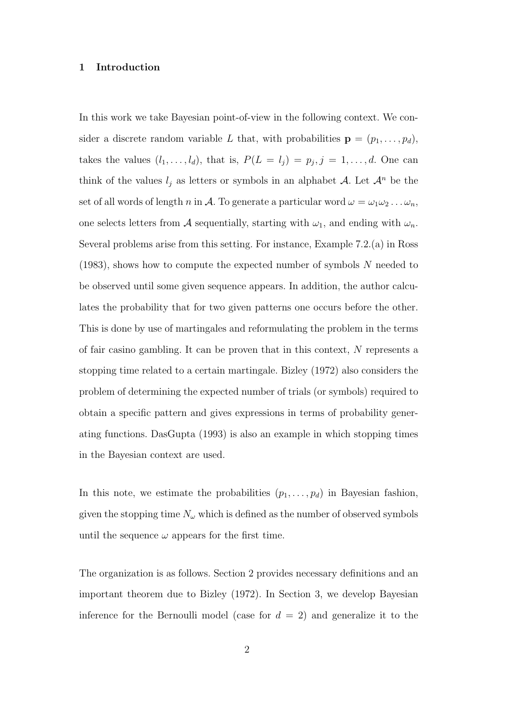#### 1 Introduction

In this work we take Bayesian point-of-view in the following context. We consider a discrete random variable L that, with probabilities  $\mathbf{p} = (p_1, \ldots, p_d)$ , takes the values  $(l_1, \ldots, l_d)$ , that is,  $P(L = l_j) = p_j, j = 1, \ldots, d$ . One can think of the values  $l_j$  as letters or symbols in an alphabet A. Let  $\mathcal{A}^n$  be the set of all words of length n in A. To generate a particular word  $\omega = \omega_1 \omega_2 \ldots \omega_n$ , one selects letters from A sequentially, starting with  $\omega_1$ , and ending with  $\omega_n$ . Several problems arise from this setting. For instance, Example 7.2.(a) in Ross (1983), shows how to compute the expected number of symbols N needed to be observed until some given sequence appears. In addition, the author calculates the probability that for two given patterns one occurs before the other. This is done by use of martingales and reformulating the problem in the terms of fair casino gambling. It can be proven that in this context, N represents a stopping time related to a certain martingale. Bizley (1972) also considers the problem of determining the expected number of trials (or symbols) required to obtain a specific pattern and gives expressions in terms of probability generating functions. DasGupta (1993) is also an example in which stopping times in the Bayesian context are used.

In this note, we estimate the probabilities  $(p_1, \ldots, p_d)$  in Bayesian fashion, given the stopping time  $N_{\omega}$  which is defined as the number of observed symbols until the sequence  $\omega$  appears for the first time.

The organization is as follows. Section 2 provides necessary definitions and an important theorem due to Bizley (1972). In Section 3, we develop Bayesian inference for the Bernoulli model (case for  $d = 2$ ) and generalize it to the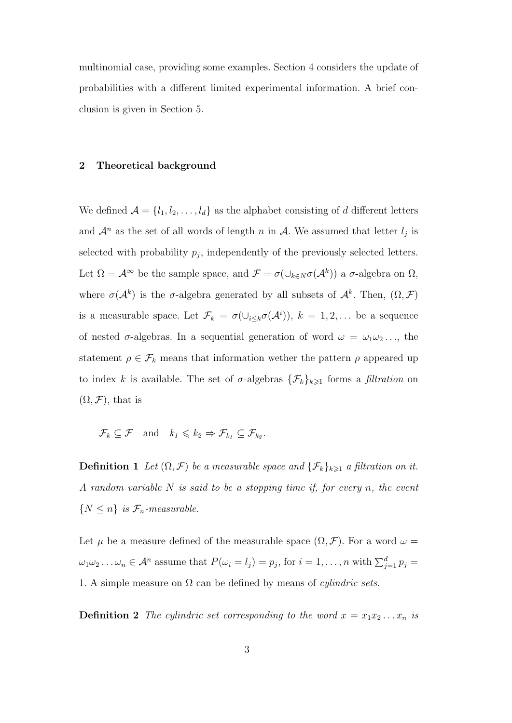multinomial case, providing some examples. Section 4 considers the update of probabilities with a different limited experimental information. A brief conclusion is given in Section 5.

### 2 Theoretical background

We defined  $\mathcal{A} = \{l_1, l_2, \ldots, l_d\}$  as the alphabet consisting of d different letters and  $\mathcal{A}^n$  as the set of all words of length n in  $\mathcal{A}$ . We assumed that letter  $l_j$  is selected with probability  $p_j$ , independently of the previously selected letters. Let  $\Omega = \mathcal{A}^{\infty}$  be the sample space, and  $\mathcal{F} = \sigma(\cup_{k \in N} \sigma(\mathcal{A}^k))$  a  $\sigma$ -algebra on  $\Omega$ , where  $\sigma(\mathcal{A}^k)$  is the  $\sigma$ -algebra generated by all subsets of  $\mathcal{A}^k$ . Then,  $(\Omega, \mathcal{F})$ is a measurable space. Let  $\mathcal{F}_k = \sigma(\cup_{i\leq k} \sigma(\mathcal{A}^i)), k = 1, 2, \dots$  be a sequence of nested  $\sigma$ -algebras. In a sequential generation of word  $\omega = \omega_1 \omega_2 \dots$ , the statement  $\rho \in \mathcal{F}_k$  means that information wether the pattern  $\rho$  appeared up to index k is available. The set of  $\sigma$ -algebras  $\{\mathcal{F}_k\}_{k\geqslant 1}$  forms a *filtration* on  $(\Omega, \mathcal{F})$ , that is

 $\mathcal{F}_k \subseteq \mathcal{F}$  and  $k_1 \leq k_2 \Rightarrow \mathcal{F}_{k_1} \subseteq \mathcal{F}_{k_2}$ .

**Definition 1** Let  $(\Omega, \mathcal{F})$  be a measurable space and  $\{\mathcal{F}_k\}_{k\geq 1}$  a filtration on it. A random variable  $N$  is said to be a stopping time if, for every  $n$ , the event  $\{N \leq n\}$  is  $\mathcal{F}_n$ -measurable.

Let  $\mu$  be a measure defined of the measurable space  $(\Omega, \mathcal{F})$ . For a word  $\omega =$  $\omega_1\omega_2\ldots\omega_n\in\mathcal{A}^n$  assume that  $P(\omega_i=l_j)=p_j,$  for  $i=1,\ldots,n$  with  $\sum_{j=1}^dp_j=1$ 1. A simple measure on  $\Omega$  can be defined by means of *cylindric sets*.

**Definition 2** The cylindric set corresponding to the word  $x = x_1x_2...x_n$  is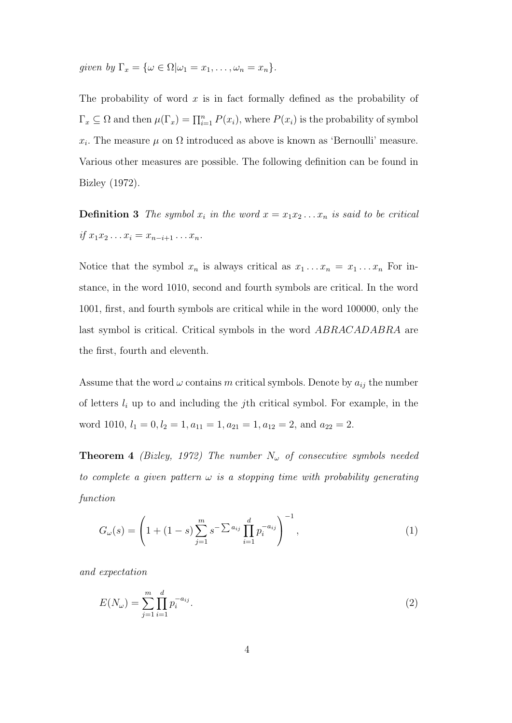given by  $\Gamma_x = {\omega \in \Omega | \omega_1 = x_1, \ldots, \omega_n = x_n}.$ 

The probability of word  $x$  is in fact formally defined as the probability of  $\Gamma_x \subseteq \Omega$  and then  $\mu(\Gamma_x) = \prod_{i=1}^n P(x_i)$ , where  $P(x_i)$  is the probability of symbol  $x_i$ . The measure  $\mu$  on  $\Omega$  introduced as above is known as 'Bernoulli' measure. Various other measures are possible. The following definition can be found in Bizley (1972).

**Definition 3** The symbol  $x_i$  in the word  $x = x_1x_2...x_n$  is said to be critical if  $x_1x_2 \ldots x_i = x_{n-i+1} \ldots x_n$ .

Notice that the symbol  $x_n$  is always critical as  $x_1 \ldots x_n = x_1 \ldots x_n$  For instance, in the word 1010, second and fourth symbols are critical. In the word 1001, first, and fourth symbols are critical while in the word 100000, only the last symbol is critical. Critical symbols in the word ABRACADABRA are the first, fourth and eleventh.

Assume that the word  $\omega$  contains m critical symbols. Denote by  $a_{ij}$  the number of letters  $l_i$  up to and including the jth critical symbol. For example, in the word 1010,  $l_1 = 0, l_2 = 1, a_{11} = 1, a_{21} = 1, a_{12} = 2,$  and  $a_{22} = 2$ .

**Theorem 4** (Bizley, 1972) The number  $N_{\omega}$  of consecutive symbols needed to complete a given pattern  $\omega$  is a stopping time with probability generating function

$$
G_{\omega}(s) = \left(1 + (1 - s) \sum_{j=1}^{m} s^{-\sum a_{ij}} \prod_{i=1}^{d} p_i^{-a_{ij}}\right)^{-1},\tag{1}
$$

and expectation

$$
E(N_{\omega}) = \sum_{j=1}^{m} \prod_{i=1}^{d} p_i^{-a_{ij}}.
$$
\n(2)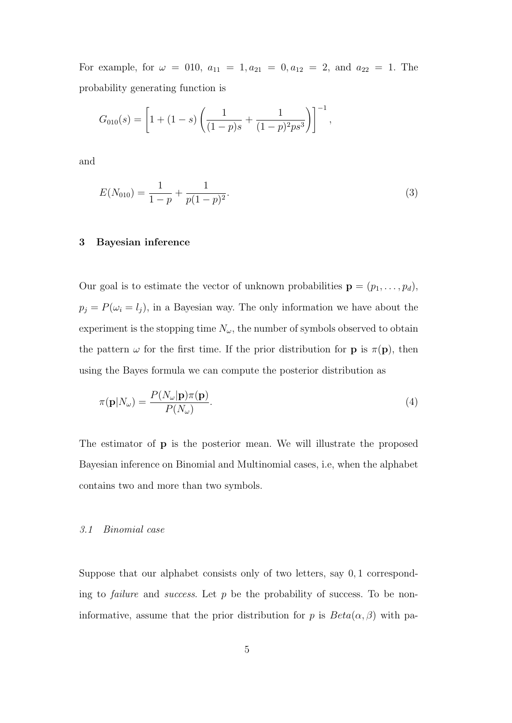For example, for  $\omega = 010$ ,  $a_{11} = 1, a_{21} = 0, a_{12} = 2,$  and  $a_{22} = 1$ . The probability generating function is

$$
G_{010}(s) = \left[1 + (1 - s)\left(\frac{1}{(1 - p)s} + \frac{1}{(1 - p)^2 ps^3}\right)\right]^{-1},
$$

and

$$
E(N_{010}) = \frac{1}{1-p} + \frac{1}{p(1-p)^2}.
$$
\n(3)

## 3 Bayesian inference

Our goal is to estimate the vector of unknown probabilities  $\mathbf{p} = (p_1, \ldots, p_d)$ ,  $p_j = P(\omega_i = l_j)$ , in a Bayesian way. The only information we have about the experiment is the stopping time  $N_{\omega}$ , the number of symbols observed to obtain the pattern  $\omega$  for the first time. If the prior distribution for **p** is  $\pi(\mathbf{p})$ , then using the Bayes formula we can compute the posterior distribution as

$$
\pi(\mathbf{p}|N_{\omega}) = \frac{P(N_{\omega}|\mathbf{p})\pi(\mathbf{p})}{P(N_{\omega})}.
$$
\n(4)

The estimator of p is the posterior mean. We will illustrate the proposed Bayesian inference on Binomial and Multinomial cases, i.e, when the alphabet contains two and more than two symbols.

#### 3.1 Binomial case

Suppose that our alphabet consists only of two letters, say 0, 1 corresponding to *failure* and *success*. Let  $p$  be the probability of success. To be noninformative, assume that the prior distribution for p is  $Beta(\alpha, \beta)$  with pa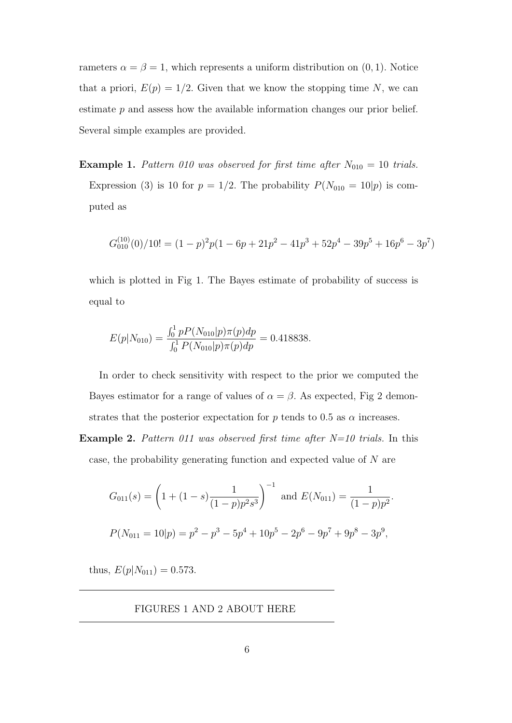rameters  $\alpha = \beta = 1$ , which represents a uniform distribution on  $(0, 1)$ . Notice that a priori,  $E(p) = 1/2$ . Given that we know the stopping time N, we can estimate p and assess how the available information changes our prior belief. Several simple examples are provided.

**Example 1.** Pattern 010 was observed for first time after  $N_{010} = 10$  trials. Expression (3) is 10 for  $p = 1/2$ . The probability  $P(N_{010} = 10|p)$  is computed as

$$
G_{010}^{(10)}(0)/10! = (1-p)^2p(1-6p+21p^2-41p^3+52p^4-39p^5+16p^6-3p^7)
$$

which is plotted in Fig 1. The Bayes estimate of probability of success is equal to

$$
E(p|N_{010}) = \frac{\int_0^1 pP(N_{010}|p)\pi(p)dp}{\int_0^1 P(N_{010}|p)\pi(p)dp} = 0.418838.
$$

In order to check sensitivity with respect to the prior we computed the Bayes estimator for a range of values of  $\alpha = \beta$ . As expected, Fig 2 demonstrates that the posterior expectation for p tends to 0.5 as  $\alpha$  increases.

**Example 2.** Pattern 011 was observed first time after  $N=10$  trials. In this case, the probability generating function and expected value of N are

$$
G_{011}(s) = \left(1 + (1 - s)\frac{1}{(1 - p)p^2s^3}\right)^{-1} \text{ and } E(N_{011}) = \frac{1}{(1 - p)p^2}.
$$
  

$$
P(N_{011} = 10|p) = p^2 - p^3 - 5p^4 + 10p^5 - 2p^6 - 9p^7 + 9p^8 - 3p^9,
$$

thus,  $E(p|N_{011}) = 0.573$ .

FIGURES 1 AND 2 ABOUT HERE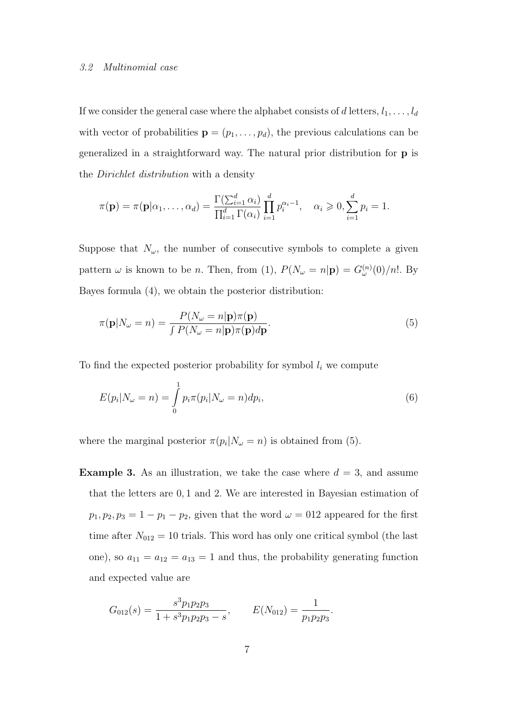#### 3.2 Multinomial case

If we consider the general case where the alphabet consists of d letters,  $l_1, \ldots, l_d$ with vector of probabilities  $\mathbf{p} = (p_1, \ldots, p_d)$ , the previous calculations can be generalized in a straightforward way. The natural prior distribution for p is the Dirichlet distribution with a density

$$
\pi(\mathbf{p}) = \pi(\mathbf{p}|\alpha_1,\ldots,\alpha_d) = \frac{\Gamma(\sum_{i=1}^d \alpha_i)}{\prod_{i=1}^d \Gamma(\alpha_i)} \prod_{i=1}^d p_i^{\alpha_i-1}, \quad \alpha_i \geqslant 0, \sum_{i=1}^d p_i = 1.
$$

Suppose that  $N_{\omega}$ , the number of consecutive symbols to complete a given pattern  $\omega$  is known to be *n*. Then, from (1),  $P(N_{\omega} = n|\mathbf{p}) = G_{\omega}^{(n)}(0)/n!$ . By Bayes formula (4), we obtain the posterior distribution:

$$
\pi(\mathbf{p}|N_{\omega}=n) = \frac{P(N_{\omega}=n|\mathbf{p})\pi(\mathbf{p})}{\int P(N_{\omega}=n|\mathbf{p})\pi(\mathbf{p})d\mathbf{p}}.\tag{5}
$$

To find the expected posterior probability for symbol  $l_i$  we compute

$$
E(p_i|N_{\omega}=n) = \int_{0}^{1} p_i \pi(p_i|N_{\omega}=n) dp_i,
$$
\n(6)

where the marginal posterior  $\pi(p_i|N_\omega=n)$  is obtained from (5).

**Example 3.** As an illustration, we take the case where  $d = 3$ , and assume that the letters are 0, 1 and 2. We are interested in Bayesian estimation of  $p_1, p_2, p_3 = 1 - p_1 - p_2$ , given that the word  $\omega = 0.12$  appeared for the first time after  $N_{012} = 10$  trials. This word has only one critical symbol (the last one), so  $a_{11} = a_{12} = a_{13} = 1$  and thus, the probability generating function and expected value are

$$
G_{012}(s) = \frac{s^3 p_1 p_2 p_3}{1 + s^3 p_1 p_2 p_3 - s}, \qquad E(N_{012}) = \frac{1}{p_1 p_2 p_3}.
$$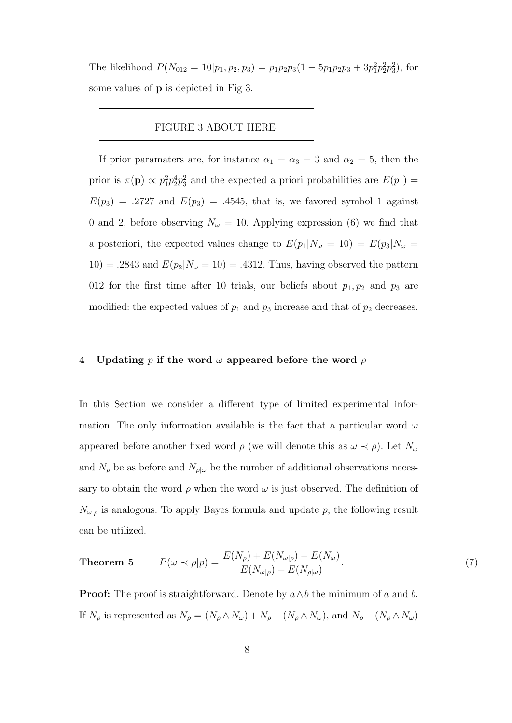The likelihood  $P(N_{012} = 10|p_1, p_2, p_3) = p_1 p_2 p_3 (1 - 5p_1 p_2 p_3 + 3p_1^2 p_2^2 p_3^2)$ , for some values of p is depicted in Fig 3.

### FIGURE 3 ABOUT HERE

If prior paramaters are, for instance  $\alpha_1 = \alpha_3 = 3$  and  $\alpha_2 = 5$ , then the prior is  $\pi(\mathbf{p}) \propto p_1^2 p_2^4 p_3^2$  and the expected a priori probabilities are  $E(p_1)$  =  $E(p_3) = .2727$  and  $E(p_3) = .4545$ , that is, we favored symbol 1 against 0 and 2, before observing  $N_{\omega} = 10$ . Applying expression (6) we find that a posteriori, the expected values change to  $E(p_1|N_\omega = 10) = E(p_3|N_\omega =$ 10) = .2843 and  $E(p_2|N_\omega=10)$  = .4312. Thus, having observed the pattern 012 for the first time after 10 trials, our beliefs about  $p_1, p_2$  and  $p_3$  are modified: the expected values of  $p_1$  and  $p_3$  increase and that of  $p_2$  decreases.

### 4 Updating p if the word  $\omega$  appeared before the word  $\rho$

In this Section we consider a different type of limited experimental information. The only information available is the fact that a particular word  $\omega$ appeared before another fixed word  $\rho$  (we will denote this as  $\omega \prec \rho$ ). Let  $N_{\omega}$ and  $N_{\rho}$  be as before and  $N_{\rho|\omega}$  be the number of additional observations necessary to obtain the word  $\rho$  when the word  $\omega$  is just observed. The definition of  $N_{\omega|\rho}$  is analogous. To apply Bayes formula and update p, the following result can be utilized.

**Theorem 5** 
$$
P(\omega \prec \rho | p) = \frac{E(N_{\rho}) + E(N_{\omega | \rho}) - E(N_{\omega})}{E(N_{\omega | \rho}) + E(N_{\rho | \omega})}.
$$
 (7)

**Proof:** The proof is straightforward. Denote by  $a \wedge b$  the minimum of a and b. If  $N_\rho$  is represented as  $N_\rho=(N_\rho\wedge N_\omega)+N_\rho-(N_\rho\wedge N_\omega),$  and  $N_\rho-(N_\rho\wedge N_\omega)$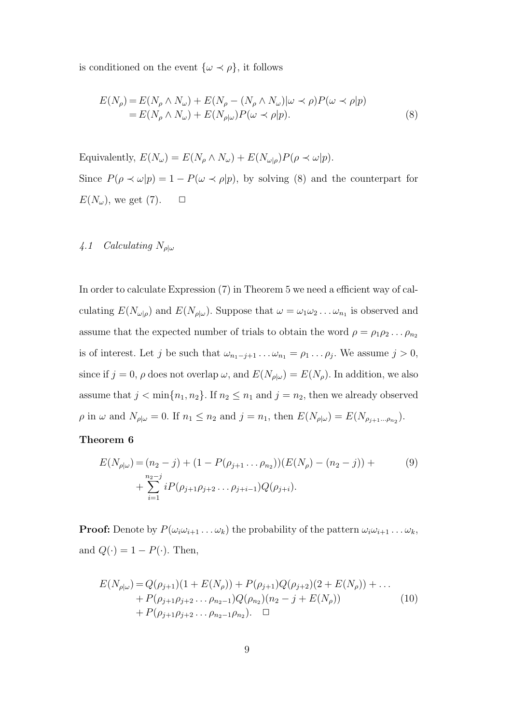is conditioned on the event  $\{\omega \prec \rho\}$ , it follows

$$
E(N_{\rho}) = E(N_{\rho} \wedge N_{\omega}) + E(N_{\rho} - (N_{\rho} \wedge N_{\omega}) | \omega \prec \rho) P(\omega \prec \rho | p)
$$
  
= 
$$
E(N_{\rho} \wedge N_{\omega}) + E(N_{\rho | \omega}) P(\omega \prec \rho | p).
$$
 (8)

Equivalently,  $E(N_\omega) = E(N_\rho \wedge N_\omega) + E(N_{\omega|\rho})P(\rho \prec \omega|p)$ . Since  $P(\rho \prec \omega|p) = 1 - P(\omega \prec \rho|p)$ , by solving (8) and the counterpart for  $E(N_\omega)$ , we get (7).  $\Box$ 

# 4.1 Calculating  $N_{\rho|\omega}$

In order to calculate Expression (7) in Theorem 5 we need a efficient way of calculating  $E(N_{\omega|\rho})$  and  $E(N_{\rho|\omega})$ . Suppose that  $\omega = \omega_1 \omega_2 \dots \omega_{n_1}$  is observed and assume that the expected number of trials to obtain the word  $\rho = \rho_1 \rho_2 \dots \rho_{n_2}$ is of interest. Let j be such that  $\omega_{n_1-j+1} \dots \omega_{n_1} = \rho_1 \dots \rho_j$ . We assume  $j > 0$ , since if  $j = 0$ ,  $\rho$  does not overlap  $\omega$ , and  $E(N_{\rho|\omega}) = E(N_{\rho})$ . In addition, we also assume that  $j < \min\{n_1, n_2\}$ . If  $n_2 \le n_1$  and  $j = n_2$ , then we already observed  $\rho$  in  $\omega$  and  $N_{\rho|\omega} = 0$ . If  $n_1 \leq n_2$  and  $j = n_1$ , then  $E(N_{\rho|\omega}) = E(N_{\rho_{j+1}...\rho_{n_2}})$ .

## Theorem 6

$$
E(N_{\rho|\omega}) = (n_2 - j) + (1 - P(\rho_{j+1} \dots \rho_{n_2})) (E(N_{\rho}) - (n_2 - j)) + \sum_{i=1}^{n_2 - j} i P(\rho_{j+1}\rho_{j+2}\dots \rho_{j+i-1}) Q(\rho_{j+i}).
$$
\n(9)

**Proof:** Denote by  $P(\omega_i \omega_{i+1} \dots \omega_k)$  the probability of the pattern  $\omega_i \omega_{i+1} \dots \omega_k$ , and  $Q(\cdot) = 1 - P(\cdot)$ . Then,

$$
E(N_{\rho|\omega}) = Q(\rho_{j+1})(1 + E(N_{\rho})) + P(\rho_{j+1})Q(\rho_{j+2})(2 + E(N_{\rho})) + \dots + P(\rho_{j+1}\rho_{j+2}\dots\rho_{n_2-1})Q(\rho_{n_2})(n_2 - j + E(N_{\rho})) + P(\rho_{j+1}\rho_{j+2}\dots\rho_{n_2-1}\rho_{n_2}). \quad \Box
$$
\n(10)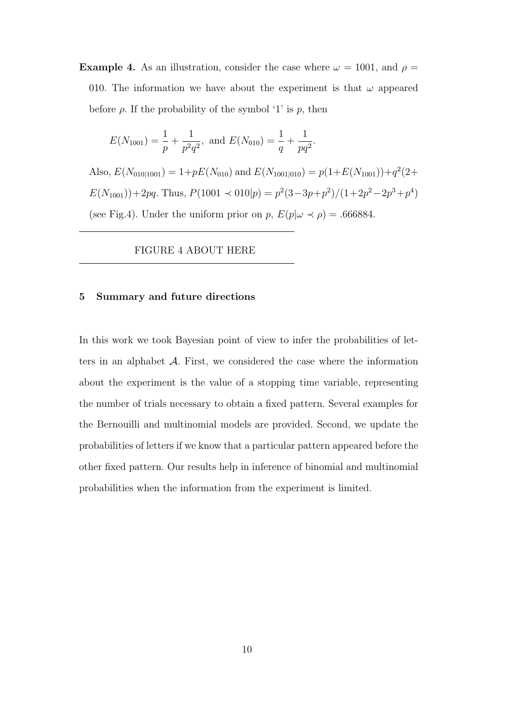**Example 4.** As an illustration, consider the case where  $\omega = 1001$ , and  $\rho =$ 010. The information we have about the experiment is that  $\omega$  appeared before  $\rho$ . If the probability of the symbol '1' is p, then

$$
E(N_{1001}) = \frac{1}{p} + \frac{1}{p^2 q^2}
$$
, and  $E(N_{010}) = \frac{1}{q} + \frac{1}{pq^2}$ 

Also,  $E(N_{010|1001}) = 1 + pE(N_{010})$  and  $E(N_{1001|010}) = p(1+E(N_{1001})) + q^2(2+$  $E(N_{1001})) + 2pq$ . Thus,  $P(1001 \prec 010|p) = p^2(3-3p+p^2)/(1+2p^2-2p^3+p^4)$ (see Fig.4). Under the uniform prior on p,  $E(p|\omega \prec \rho) = .666884$ .

.

FIGURE 4 ABOUT HERE

### 5 Summary and future directions

In this work we took Bayesian point of view to infer the probabilities of letters in an alphabet  $A$ . First, we considered the case where the information about the experiment is the value of a stopping time variable, representing the number of trials necessary to obtain a fixed pattern. Several examples for the Bernouilli and multinomial models are provided. Second, we update the probabilities of letters if we know that a particular pattern appeared before the other fixed pattern. Our results help in inference of binomial and multinomial probabilities when the information from the experiment is limited.